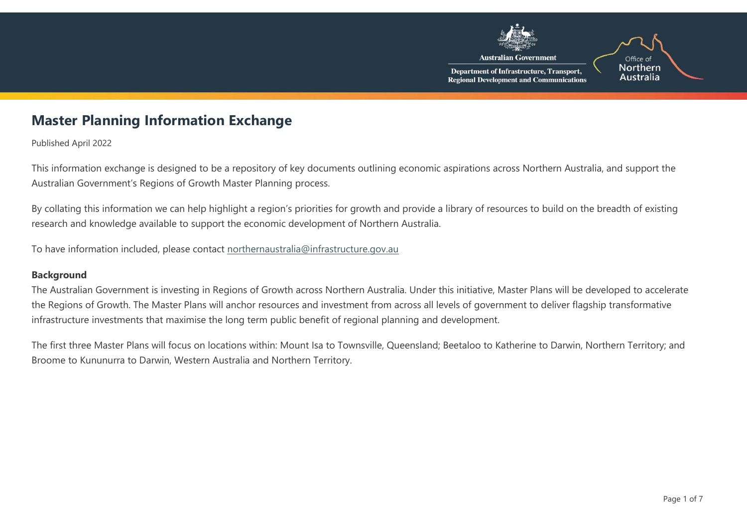

## **Master Planning Information Exchange**

Published April 2022

This information exchange is designed to be a repository of key documents outlining economic aspirations across Northern Australia, and support the Australian Government's Regions of Growth Master Planning process.

By collating this information we can help highlight a region's priorities for growth and provide a library of resources to build on the breadth of existing research and knowledge available to support the economic development of Northern Australia.

To have information included, please contact [northernaustralia@infrastructure.gov.au](mailto:northernaustralia@infrastructure.gov.au?subject=Please%20add%20my%20document%20to%20the%20Master%20Planning%20Information%20Exchange%20)

## **Background**

The Australian Government is investing in Regions of Growth across Northern Australia. Under this initiative, Master Plans will be developed to accelerate the Regions of Growth. The Master Plans will anchor resources and investment from across all levels of government to deliver flagship transformative infrastructure investments that maximise the long term public benefit of regional planning and development.

The first three Master Plans will focus on locations within: Mount Isa to Townsville, Queensland; Beetaloo to Katherine to Darwin, Northern Territory; and Broome to Kununurra to Darwin, Western Australia and Northern Territory.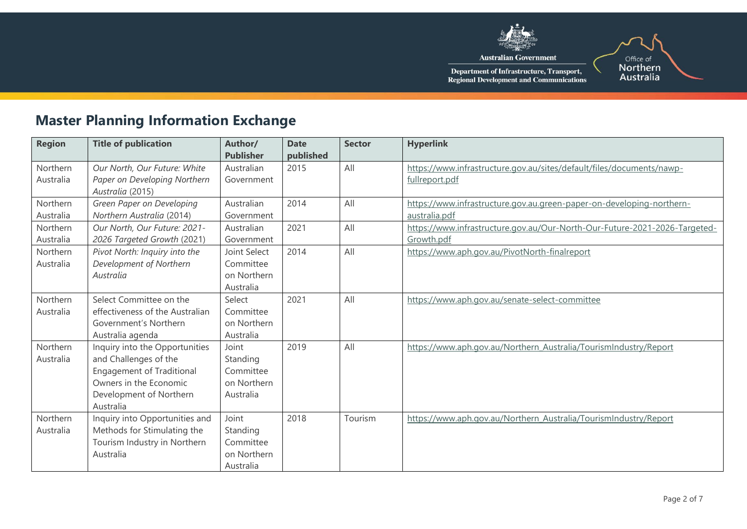

Department of Infrastructure, Transport,<br>Regional Development and Communications

## **Master Planning Information Exchange**

| <b>Region</b> | <b>Title of publication</b>      | Author/          | <b>Date</b> | <b>Sector</b> | <b>Hyperlink</b>                                                           |
|---------------|----------------------------------|------------------|-------------|---------------|----------------------------------------------------------------------------|
|               |                                  | <b>Publisher</b> | published   |               |                                                                            |
| Northern      | Our North, Our Future: White     | Australian       | 2015        | All           | https://www.infrastructure.gov.au/sites/default/files/documents/nawp-      |
| Australia     | Paper on Developing Northern     | Government       |             |               | fullreport.pdf                                                             |
|               | Australia (2015)                 |                  |             |               |                                                                            |
| Northern      | Green Paper on Developing        | Australian       | 2014        | All           | https://www.infrastructure.gov.au.green-paper-on-developing-northern-      |
| Australia     | Northern Australia (2014)        | Government       |             |               | australia.pdf                                                              |
| Northern      | Our North, Our Future: 2021-     | Australian       | 2021        | All           | https://www.infrastructure.gov.au/Our-North-Our-Future-2021-2026-Targeted- |
| Australia     | 2026 Targeted Growth (2021)      | Government       |             |               | Growth.pdf                                                                 |
| Northern      | Pivot North: Inquiry into the    | Joint Select     | 2014        | All           | https://www.aph.gov.au/PivotNorth-finalreport                              |
| Australia     | Development of Northern          | Committee        |             |               |                                                                            |
|               | Australia                        | on Northern      |             |               |                                                                            |
|               |                                  | Australia        |             |               |                                                                            |
| Northern      | Select Committee on the          | Select           | 2021        | All           | https://www.aph.gov.au/senate-select-committee                             |
| Australia     | effectiveness of the Australian  | Committee        |             |               |                                                                            |
|               | Government's Northern            | on Northern      |             |               |                                                                            |
|               | Australia agenda                 | Australia        |             |               |                                                                            |
| Northern      | Inquiry into the Opportunities   | Joint            | 2019        | All           | https://www.aph.gov.au/Northern Australia/TourismIndustry/Report           |
| Australia     | and Challenges of the            | Standing         |             |               |                                                                            |
|               | <b>Engagement of Traditional</b> | Committee        |             |               |                                                                            |
|               | Owners in the Economic           | on Northern      |             |               |                                                                            |
|               | Development of Northern          | Australia        |             |               |                                                                            |
|               | Australia                        |                  |             |               |                                                                            |
| Northern      | Inquiry into Opportunities and   | Joint            | 2018        | Tourism       | https://www.aph.gov.au/Northern Australia/TourismIndustry/Report           |
| Australia     | Methods for Stimulating the      | Standing         |             |               |                                                                            |
|               | Tourism Industry in Northern     | Committee        |             |               |                                                                            |
|               | Australia                        | on Northern      |             |               |                                                                            |
|               |                                  | Australia        |             |               |                                                                            |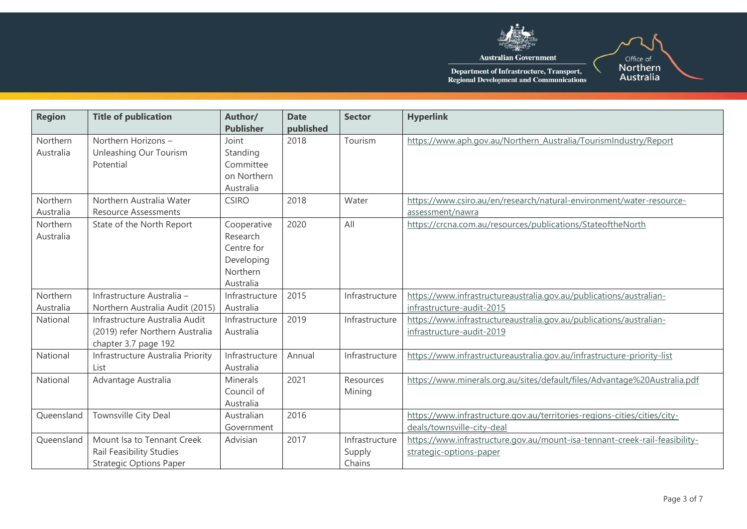

| <b>Region</b> | <b>Title of publication</b>       | Author/<br><b>Publisher</b> | <b>Date</b><br>published | <b>Sector</b>  | <b>Hyperlink</b>                                                            |
|---------------|-----------------------------------|-----------------------------|--------------------------|----------------|-----------------------------------------------------------------------------|
| Northern      | Northern Horizons -               | Joint                       | 2018                     | Tourism        | https://www.aph.gov.au/Northern Australia/TourismIndustry/Report            |
| Australia     | Unleashing Our Tourism            | Standing                    |                          |                |                                                                             |
|               | Potential                         | Committee<br>on Northern    |                          |                |                                                                             |
|               |                                   | Australia                   |                          |                |                                                                             |
| Northern      | Northern Australia Water          | <b>CSIRO</b>                | 2018                     | Water          | https://www.csiro.au/en/research/natural-environment/water-resource-        |
| Australia     | <b>Resource Assessments</b>       |                             |                          |                | assessment/nawra                                                            |
| Northern      | State of the North Report         | Cooperative                 | 2020                     | All            | https://crcna.com.au/resources/publications/StateoftheNorth                 |
| Australia     |                                   | Research                    |                          |                |                                                                             |
|               |                                   | Centre for                  |                          |                |                                                                             |
|               |                                   | Developing                  |                          |                |                                                                             |
|               |                                   | Northern                    |                          |                |                                                                             |
|               |                                   | Australia                   |                          |                |                                                                             |
| Northern      | Infrastructure Australia -        | Infrastructure              | 2015                     | Infrastructure | https://www.infrastructureaustralia.gov.au/publications/australian-         |
| Australia     | Northern Australia Audit (2015)   | Australia                   |                          |                | infrastructure-audit-2015                                                   |
| National      | Infrastructure Australia Audit    | Infrastructure              | 2019                     | Infrastructure | https://www.infrastructureaustralia.gov.au/publications/australian-         |
|               | (2019) refer Northern Australia   | Australia                   |                          |                | infrastructure-audit-2019                                                   |
|               | chapter 3.7 page 192              |                             |                          |                |                                                                             |
| National      | Infrastructure Australia Priority | Infrastructure              | Annual                   | Infrastructure | https://www.infrastructureaustralia.gov.au/infrastructure-priority-list     |
|               | List                              | Australia                   |                          |                |                                                                             |
| National      | Advantage Australia               | <b>Minerals</b>             | 2021                     | Resources      | https://www.minerals.org.au/sites/default/files/Advantage%20Australia.pdf   |
|               |                                   | Council of                  |                          | Mining         |                                                                             |
|               |                                   | Australia                   |                          |                |                                                                             |
| Queensland    | Townsville City Deal              | Australian                  | 2016                     |                | https://www.infrastructure.gov.au/territories-regions-cities/cities/city-   |
|               |                                   | Government                  |                          |                | deals/townsville-city-deal                                                  |
| Queensland    | Mount Isa to Tennant Creek        | Advisian                    | 2017                     | Infrastructure | https://www.infrastructure.gov.au/mount-isa-tennant-creek-rail-feasibility- |
|               | Rail Feasibility Studies          |                             |                          | Supply         | strategic-options-paper                                                     |
|               | <b>Strategic Options Paper</b>    |                             |                          | Chains         |                                                                             |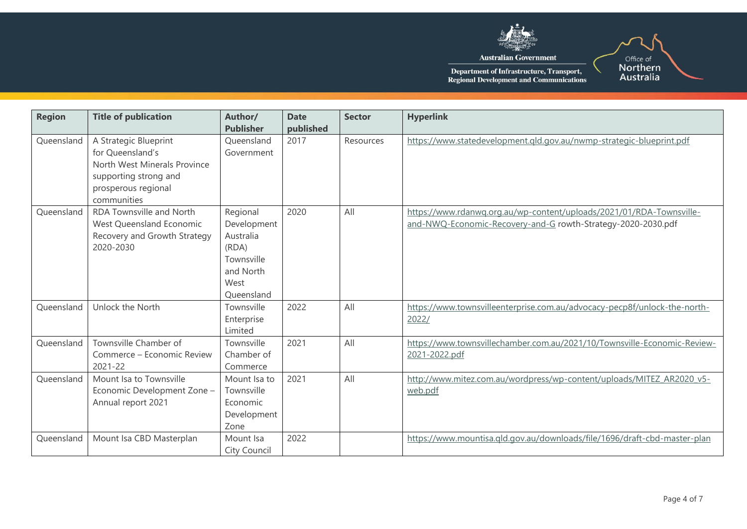

| <b>Region</b> | <b>Title of publication</b>                                                                                                              | Author/<br><b>Publisher</b>                                                                    | <b>Date</b><br>published | <b>Sector</b> | <b>Hyperlink</b>                                                                                                                     |
|---------------|------------------------------------------------------------------------------------------------------------------------------------------|------------------------------------------------------------------------------------------------|--------------------------|---------------|--------------------------------------------------------------------------------------------------------------------------------------|
| Queensland    | A Strategic Blueprint<br>for Queensland's<br>North West Minerals Province<br>supporting strong and<br>prosperous regional<br>communities | Queensland<br>Government                                                                       | 2017                     | Resources     | https://www.statedevelopment.gld.gov.au/nwmp-strategic-blueprint.pdf                                                                 |
| Queensland    | <b>RDA Townsville and North</b><br>West Queensland Economic<br>Recovery and Growth Strategy<br>2020-2030                                 | Regional<br>Development<br>Australia<br>(RDA)<br>Townsville<br>and North<br>West<br>Queensland | 2020                     | All           | https://www.rdanwq.org.au/wp-content/uploads/2021/01/RDA-Townsville-<br>and-NWQ-Economic-Recovery-and-G rowth-Strategy-2020-2030.pdf |
| Oueensland    | Unlock the North                                                                                                                         | Townsville<br>Enterprise<br>Limited                                                            | 2022                     | All           | https://www.townsvilleenterprise.com.au/advocacy-pecp8f/unlock-the-north-<br>2022/                                                   |
| Queensland    | Townsville Chamber of<br>Commerce - Economic Review<br>2021-22                                                                           | Townsville<br>Chamber of<br>Commerce                                                           | 2021                     | All           | https://www.townsvillechamber.com.au/2021/10/Townsville-Economic-Review-<br>2021-2022.pdf                                            |
| Queensland    | Mount Isa to Townsville<br>Economic Development Zone -<br>Annual report 2021                                                             | Mount Isa to<br>Townsville<br>Economic<br>Development<br>Zone                                  | 2021                     | All           | http://www.mitez.com.au/wordpress/wp-content/uploads/MITEZ AR2020 v5-<br>web.pdf                                                     |
| Queensland    | Mount Isa CBD Masterplan                                                                                                                 | Mount Isa<br>City Council                                                                      | 2022                     |               | https://www.mountisa.gld.gov.au/downloads/file/1696/draft-cbd-master-plan                                                            |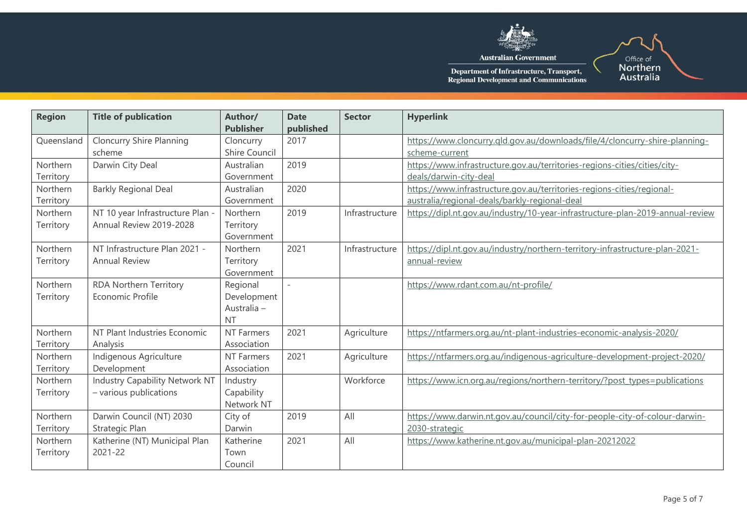

**Australian Government** 

Office of<br>Northern<br>Australia

| <b>Region</b>         | <b>Title of publication</b>                                 | Author/<br><b>Publisher</b>                         | <b>Date</b><br>published | <b>Sector</b>  | <b>Hyperlink</b>                                                                                                        |
|-----------------------|-------------------------------------------------------------|-----------------------------------------------------|--------------------------|----------------|-------------------------------------------------------------------------------------------------------------------------|
| Queensland            | <b>Cloncurry Shire Planning</b><br>scheme                   | Cloncurry<br>Shire Council                          | 2017                     |                | https://www.cloncurry.gld.gov.au/downloads/file/4/cloncurry-shire-planning-<br>scheme-current                           |
| Northern<br>Territory | Darwin City Deal                                            | Australian<br>Government                            | 2019                     |                | https://www.infrastructure.gov.au/territories-regions-cities/cities/city-<br>deals/darwin-city-deal                     |
| Northern<br>Territory | <b>Barkly Regional Deal</b>                                 | Australian<br>Government                            | 2020                     |                | https://www.infrastructure.gov.au/territories-regions-cities/regional-<br>australia/regional-deals/barkly-regional-deal |
| Northern<br>Territory | NT 10 year Infrastructure Plan -<br>Annual Review 2019-2028 | Northern<br>Territory<br>Government                 | 2019                     | Infrastructure | https://dipl.nt.gov.au/industry/10-year-infrastructure-plan-2019-annual-review                                          |
| Northern<br>Territory | NT Infrastructure Plan 2021 -<br><b>Annual Review</b>       | Northern<br>Territory<br>Government                 | 2021                     | Infrastructure | https://dipl.nt.gov.au/industry/northern-territory-infrastructure-plan-2021-<br>annual-review                           |
| Northern<br>Territory | RDA Northern Territory<br>Economic Profile                  | Regional<br>Development<br>Australia -<br><b>NT</b> | $\overline{\phantom{a}}$ |                | https://www.rdant.com.au/nt-profile/                                                                                    |
| Northern<br>Territory | NT Plant Industries Economic<br>Analysis                    | <b>NT Farmers</b><br>Association                    | 2021                     | Agriculture    | https://ntfarmers.org.au/nt-plant-industries-economic-analysis-2020/                                                    |
| Northern<br>Territory | Indigenous Agriculture<br>Development                       | <b>NT Farmers</b><br>Association                    | 2021                     | Agriculture    | https://ntfarmers.org.au/indigenous-agriculture-development-project-2020/                                               |
| Northern<br>Territory | Industry Capability Network NT<br>- various publications    | Industry<br>Capability<br>Network NT                |                          | Workforce      | https://www.icn.org.au/regions/northern-territory/?post_types=publications                                              |
| Northern<br>Territory | Darwin Council (NT) 2030<br>Strategic Plan                  | City of<br>Darwin                                   | 2019                     | All            | https://www.darwin.nt.gov.au/council/city-for-people-city-of-colour-darwin-<br>2030-strategic                           |
| Northern<br>Territory | Katherine (NT) Municipal Plan<br>2021-22                    | Katherine<br>Town<br>Council                        | 2021                     | All            | https://www.katherine.nt.gov.au/municipal-plan-20212022                                                                 |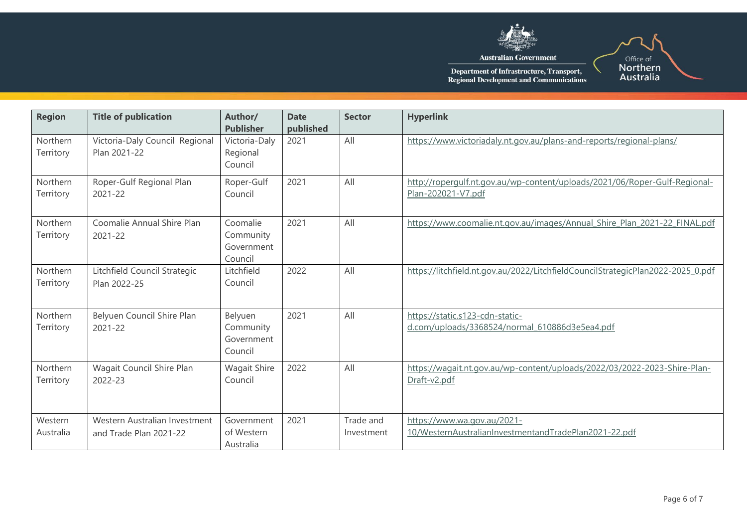

| <b>Region</b>         | <b>Title of publication</b>                             | Author/<br><b>Publisher</b>                    | <b>Date</b><br>published | <b>Sector</b>           | <b>Hyperlink</b>                                                                                 |
|-----------------------|---------------------------------------------------------|------------------------------------------------|--------------------------|-------------------------|--------------------------------------------------------------------------------------------------|
| Northern<br>Territory | Victoria-Daly Council Regional<br>Plan 2021-22          | Victoria-Daly<br>Regional<br>Council           | 2021                     | All                     | https://www.victoriadaly.nt.gov.au/plans-and-reports/regional-plans/                             |
| Northern<br>Territory | Roper-Gulf Regional Plan<br>2021-22                     | Roper-Gulf<br>Council                          | 2021                     | All                     | http://ropergulf.nt.gov.au/wp-content/uploads/2021/06/Roper-Gulf-Regional-<br>Plan-202021-V7.pdf |
| Northern<br>Territory | Coomalie Annual Shire Plan<br>2021-22                   | Coomalie<br>Community<br>Government<br>Council | 2021                     | All                     | https://www.coomalie.nt.gov.au/images/Annual Shire Plan 2021-22 FINAL.pdf                        |
| Northern<br>Territory | Litchfield Council Strategic<br>Plan 2022-25            | Litchfield<br>Council                          | 2022                     | All                     | https://litchfield.nt.gov.au/2022/LitchfieldCouncilStrategicPlan2022-2025 0.pdf                  |
| Northern<br>Territory | Belyuen Council Shire Plan<br>2021-22                   | Belyuen<br>Community<br>Government<br>Council  | 2021                     | All                     | https://static.s123-cdn-static-<br>d.com/uploads/3368524/normal_610886d3e5ea4.pdf                |
| Northern<br>Territory | Wagait Council Shire Plan<br>2022-23                    | <b>Wagait Shire</b><br>Council                 | 2022                     | All                     | https://wagait.nt.gov.au/wp-content/uploads/2022/03/2022-2023-Shire-Plan-<br>Draft-v2.pdf        |
| Western<br>Australia  | Western Australian Investment<br>and Trade Plan 2021-22 | Government<br>of Western<br>Australia          | 2021                     | Trade and<br>Investment | https://www.wa.gov.au/2021-<br>10/WesternAustralianInvestmentandTradePlan2021-22.pdf             |